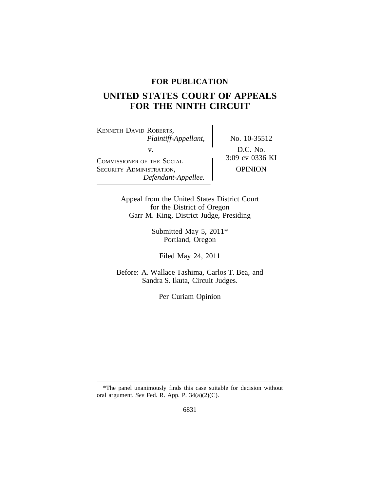## **FOR PUBLICATION**

# **UNITED STATES COURT OF APPEALS FOR THE NINTH CIRCUIT**

<sup>K</sup>ENNETH DAVID ROBERTS, *Plaintiff-Appellant,* No. 10-35512 V.<br>
COMMISSIONER OF THE SOCIAL
BEARING COMMISSIONER OF THE SOCIAL
BEARING COMMISSIONER
V.
BEARING COMMISSIONER
UP 3:09 cv 0336 KI SECURITY ADMINISTRATION, OPINION *Defendant-Appellee.*

Appeal from the United States District Court for the District of Oregon Garr M. King, District Judge, Presiding

> Submitted May 5, 2011\* Portland, Oregon

Filed May 24, 2011

Before: A. Wallace Tashima, Carlos T. Bea, and Sandra S. Ikuta, Circuit Judges.

Per Curiam Opinion

<sup>\*</sup>The panel unanimously finds this case suitable for decision without oral argument. *See* Fed. R. App. P. 34(a)(2)(C).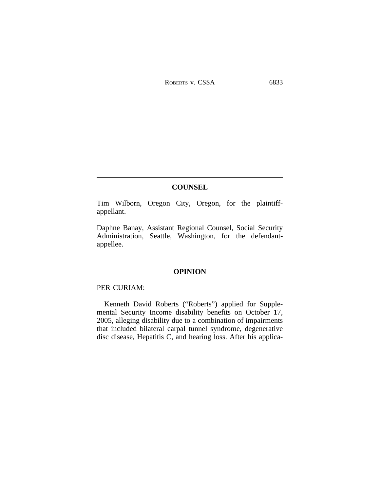#### **COUNSEL**

Tim Wilborn, Oregon City, Oregon, for the plaintiffappellant.

Daphne Banay, Assistant Regional Counsel, Social Security Administration, Seattle, Washington, for the defendantappellee.

### **OPINION**

## PER CURIAM:

Kenneth David Roberts ("Roberts") applied for Supplemental Security Income disability benefits on October 17, 2005, alleging disability due to a combination of impairments that included bilateral carpal tunnel syndrome, degenerative disc disease, Hepatitis C, and hearing loss. After his applica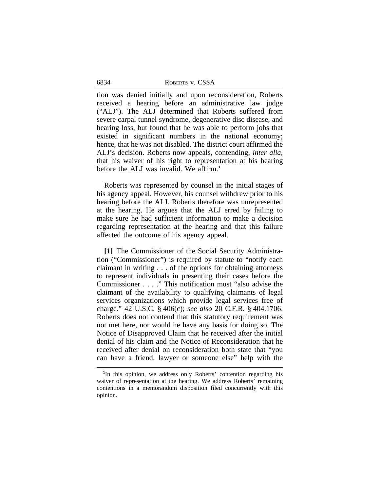tion was denied initially and upon reconsideration, Roberts received a hearing before an administrative law judge ("ALJ"). The ALJ determined that Roberts suffered from severe carpal tunnel syndrome, degenerative disc disease, and hearing loss, but found that he was able to perform jobs that existed in significant numbers in the national economy; hence, that he was not disabled. The district court affirmed the ALJ's decision. Roberts now appeals, contending, *inter alia*, that his waiver of his right to representation at his hearing before the ALJ was invalid. We affirm.**<sup>1</sup>**

Roberts was represented by counsel in the initial stages of his agency appeal. However, his counsel withdrew prior to his hearing before the ALJ. Roberts therefore was unrepresented at the hearing. He argues that the ALJ erred by failing to make sure he had sufficient information to make a decision regarding representation at the hearing and that this failure affected the outcome of his agency appeal.

**[1]** The Commissioner of the Social Security Administration ("Commissioner") is required by statute to "notify each claimant in writing . . . of the options for obtaining attorneys to represent individuals in presenting their cases before the Commissioner . . . ." This notification must "also advise the claimant of the availability to qualifying claimants of legal services organizations which provide legal services free of charge." 42 U.S.C. § 406(c); *see also* 20 C.F.R. § 404.1706. Roberts does not contend that this statutory requirement was not met here, nor would he have any basis for doing so. The Notice of Disapproved Claim that he received after the initial denial of his claim and the Notice of Reconsideration that he received after denial on reconsideration both state that "you can have a friend, lawyer or someone else" help with the

**<sup>1</sup>** In this opinion, we address only Roberts' contention regarding his waiver of representation at the hearing. We address Roberts' remaining contentions in a memorandum disposition filed concurrently with this opinion.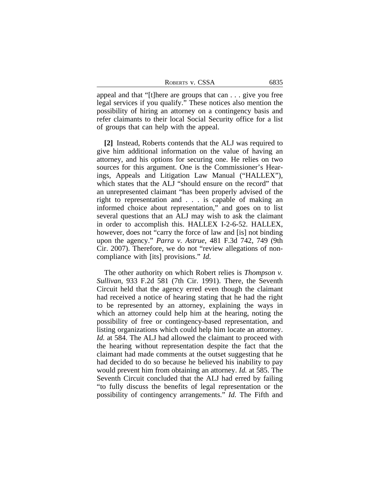| ROBERTS V. CSSA | 6835 |
|-----------------|------|
|-----------------|------|

appeal and that "[t]here are groups that can . . . give you free legal services if you qualify." These notices also mention the possibility of hiring an attorney on a contingency basis and refer claimants to their local Social Security office for a list of groups that can help with the appeal.

**[2]** Instead, Roberts contends that the ALJ was required to give him additional information on the value of having an attorney, and his options for securing one. He relies on two sources for this argument. One is the Commissioner's Hearings, Appeals and Litigation Law Manual ("HALLEX"), which states that the ALJ "should ensure on the record" that an unrepresented claimant "has been properly advised of the right to representation and . . . is capable of making an informed choice about representation," and goes on to list several questions that an ALJ may wish to ask the claimant in order to accomplish this. HALLEX I-2-6-52. HALLEX, however, does not "carry the force of law and [is] not binding upon the agency." *Parra v. Astrue*, 481 F.3d 742, 749 (9th Cir. 2007). Therefore, we do not "review allegations of noncompliance with [its] provisions." *Id*.

The other authority on which Robert relies is *Thompson v. Sullivan*, 933 F.2d 581 (7th Cir. 1991). There, the Seventh Circuit held that the agency erred even though the claimant had received a notice of hearing stating that he had the right to be represented by an attorney, explaining the ways in which an attorney could help him at the hearing, noting the possibility of free or contingency-based representation, and listing organizations which could help him locate an attorney. *Id.* at 584. The ALJ had allowed the claimant to proceed with the hearing without representation despite the fact that the claimant had made comments at the outset suggesting that he had decided to do so because he believed his inability to pay would prevent him from obtaining an attorney. *Id.* at 585. The Seventh Circuit concluded that the ALJ had erred by failing "to fully discuss the benefits of legal representation or the possibility of contingency arrangements." *Id.* The Fifth and